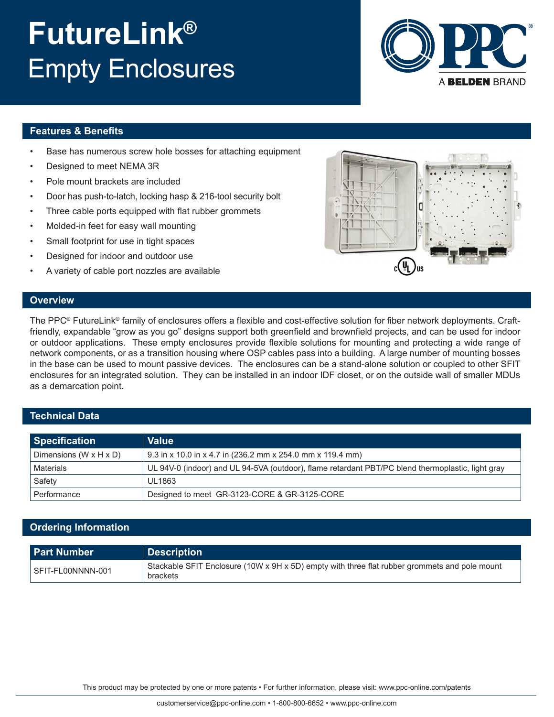#### This product may be protected by one or more patents • For further information, please visit: www.ppc-online.com/patents

# **FutureLink®** Empty Enclosures

### **Features & Benefits**

- Base has numerous screw hole bosses for attaching equipment
- Designed to meet NEMA 3R
- Pole mount brackets are included
- Door has push-to-latch, locking hasp & 216-tool security bolt
- Three cable ports equipped with flat rubber grommets
- Molded-in feet for easy wall mounting
- Small footprint for use in tight spaces
- Designed for indoor and outdoor use
- A variety of cable port nozzles are available



#### **Technical Data**

**Overview**

| <b>Specification</b>                 | <b>Value</b>                                                                                      |
|--------------------------------------|---------------------------------------------------------------------------------------------------|
| Dimensions (W $\times$ H $\times$ D) | 9.3 in x 10.0 in x 4.7 in (236.2 mm x 254.0 mm x 119.4 mm)                                        |
| Materials                            | UL 94V-0 (indoor) and UL 94-5VA (outdoor), flame retardant PBT/PC blend thermoplastic, light gray |
| Safety                               | UL1863                                                                                            |
| Performance                          | Designed to meet GR-3123-CORE & GR-3125-CORE                                                      |

### **Ordering Information**

| <b>Part Number</b> | Description                                                                                               |
|--------------------|-----------------------------------------------------------------------------------------------------------|
| SFIT-FL00NNNN-001  | Stackable SFIT Enclosure (10W x 9H x 5D) empty with three flat rubber grommets and pole mount<br>brackets |